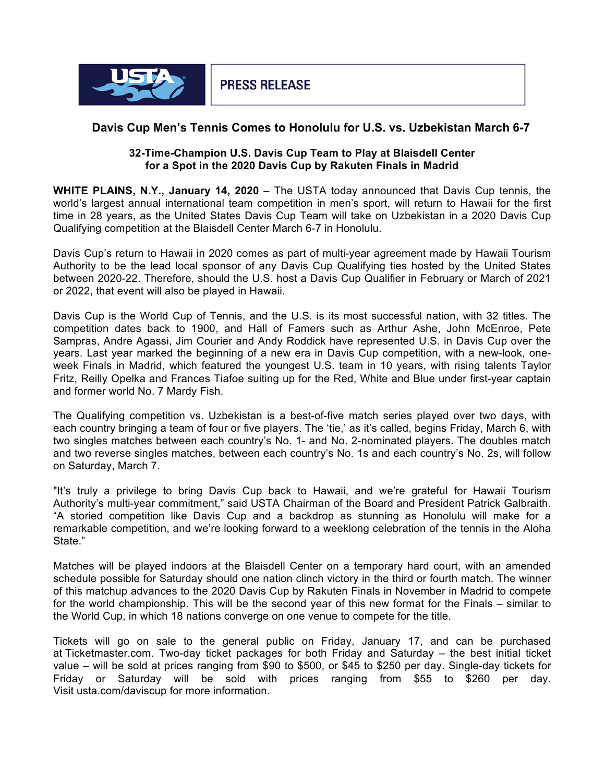

## **Davis Cup Men's Tennis Comes to Honolulu for U.S. vs. Uzbekistan March 6-7**

## **32-Time-Champion U.S. Davis Cup Team to Play at Blaisdell Center for a Spot in the 2020 Davis Cup by Rakuten Finals in Madrid**

**WHITE PLAINS, N.Y., January 14, 2020** – The USTA today announced that Davis Cup tennis, the world's largest annual international team competition in men's sport, will return to Hawaii for the first time in 28 years, as the United States Davis Cup Team will take on Uzbekistan in a 2020 Davis Cup Qualifying competition at the Blaisdell Center March 6-7 in Honolulu.

Davis Cup's return to Hawaii in 2020 comes as part of multi-year agreement made by Hawaii Tourism Authority to be the lead local sponsor of any Davis Cup Qualifying ties hosted by the United States between 2020-22. Therefore, should the U.S. host a Davis Cup Qualifier in February or March of 2021 or 2022, that event will also be played in Hawaii.

Davis Cup is the World Cup of Tennis, and the U.S. is its most successful nation, with 32 titles. The competition dates back to 1900, and Hall of Famers such as Arthur Ashe, John McEnroe, Pete Sampras, Andre Agassi, Jim Courier and Andy Roddick have represented U.S. in Davis Cup over the years. Last year marked the beginning of a new era in Davis Cup competition, with a new-look, oneweek Finals in Madrid, which featured the youngest U.S. team in 10 years, with rising talents Taylor Fritz, Reilly Opelka and Frances Tiafoe suiting up for the Red, White and Blue under first-year captain and former world No. 7 Mardy Fish.

The Qualifying competition vs. Uzbekistan is a best-of-five match series played over two days, with each country bringing a team of four or five players. The 'tie,' as it's called, begins Friday, March 6, with two singles matches between each country's No. 1- and No. 2-nominated players. The doubles match and two reverse singles matches, between each country's No. 1s and each country's No. 2s, will follow on Saturday, March 7.

"It's truly a privilege to bring Davis Cup back to Hawaii, and we're grateful for Hawaii Tourism Authority's multi-year commitment," said USTA Chairman of the Board and President Patrick Galbraith. "A storied competition like Davis Cup and a backdrop as stunning as Honolulu will make for a remarkable competition, and we're looking forward to a weeklong celebration of the tennis in the Aloha State."

Matches will be played indoors at the Blaisdell Center on a temporary hard court, with an amended schedule possible for Saturday should one nation clinch victory in the third or fourth match. The winner of this matchup advances to the 2020 Davis Cup by Rakuten Finals in November in Madrid to compete for the world championship. This will be the second year of this new format for the Finals – similar to the World Cup, in which 18 nations converge on one venue to compete for the title.

Tickets will go on sale to the general public on Friday, January 17, and can be purchased at Ticketmaster.com. Two-day ticket packages for both Friday and Saturday – the best initial ticket value – will be sold at prices ranging from \$90 to \$500, or \$45 to \$250 per day. Single-day tickets for Friday or Saturday will be sold with prices ranging from \$55 to \$260 per day. Visit usta.com/daviscup for more information.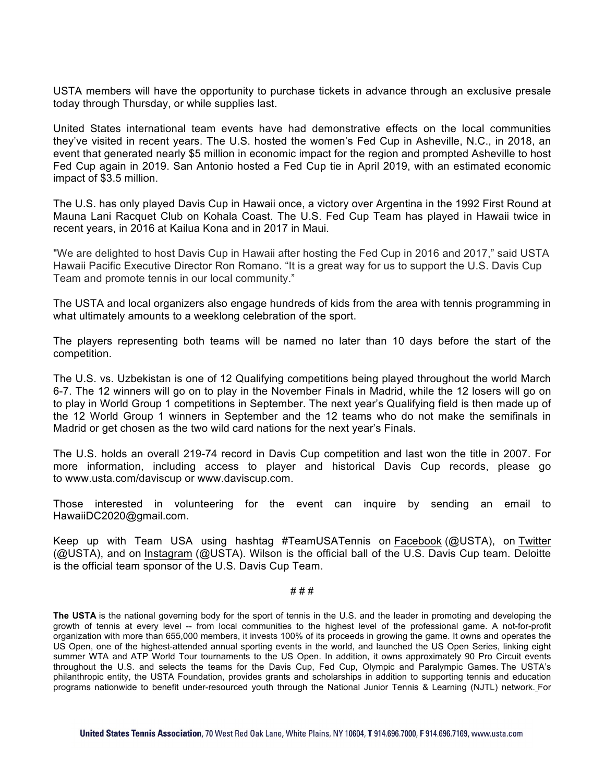USTA members will have the opportunity to purchase tickets in advance through an exclusive presale today through Thursday, or while supplies last.

United States international team events have had demonstrative effects on the local communities they've visited in recent years. The U.S. hosted the women's Fed Cup in Asheville, N.C., in 2018, an event that generated nearly \$5 million in economic impact for the region and prompted Asheville to host Fed Cup again in 2019. San Antonio hosted a Fed Cup tie in April 2019, with an estimated economic impact of \$3.5 million.

The U.S. has only played Davis Cup in Hawaii once, a victory over Argentina in the 1992 First Round at Mauna Lani Racquet Club on Kohala Coast. The U.S. Fed Cup Team has played in Hawaii twice in recent years, in 2016 at Kailua Kona and in 2017 in Maui.

"We are delighted to host Davis Cup in Hawaii after hosting the Fed Cup in 2016 and 2017," said USTA Hawaii Pacific Executive Director Ron Romano. "It is a great way for us to support the U.S. Davis Cup Team and promote tennis in our local community."

The USTA and local organizers also engage hundreds of kids from the area with tennis programming in what ultimately amounts to a weeklong celebration of the sport.

The players representing both teams will be named no later than 10 days before the start of the competition.

The U.S. vs. Uzbekistan is one of 12 Qualifying competitions being played throughout the world March 6-7. The 12 winners will go on to play in the November Finals in Madrid, while the 12 losers will go on to play in World Group 1 competitions in September. The next year's Qualifying field is then made up of the 12 World Group 1 winners in September and the 12 teams who do not make the semifinals in Madrid or get chosen as the two wild card nations for the next year's Finals.

The U.S. holds an overall 219-74 record in Davis Cup competition and last won the title in 2007. For more information, including access to player and historical Davis Cup records, please go to www.usta.com/daviscup or www.daviscup.com.

Those interested in volunteering for the event can inquire by sending an email to HawaiiDC2020@gmail.com.

Keep up with Team USA using hashtag #TeamUSATennis on Facebook (@USTA), on Twitter (@USTA), and on Instagram (@USTA). Wilson is the official ball of the U.S. Davis Cup team. Deloitte is the official team sponsor of the U.S. Davis Cup Team.

## # # #

**The USTA** is the national governing body for the sport of tennis in the U.S. and the leader in promoting and developing the growth of tennis at every level -- from local communities to the highest level of the professional game. A not-for-profit organization with more than 655,000 members, it invests 100% of its proceeds in growing the game. It owns and operates the US Open, one of the highest-attended annual sporting events in the world, and launched the US Open Series, linking eight summer WTA and ATP World Tour tournaments to the US Open. In addition, it owns approximately 90 Pro Circuit events throughout the U.S. and selects the teams for the Davis Cup, Fed Cup, Olympic and Paralympic Games. The USTA's philanthropic entity, the USTA Foundation, provides grants and scholarships in addition to supporting tennis and education programs nationwide to benefit under-resourced youth through the National Junior Tennis & Learning (NJTL) network. For